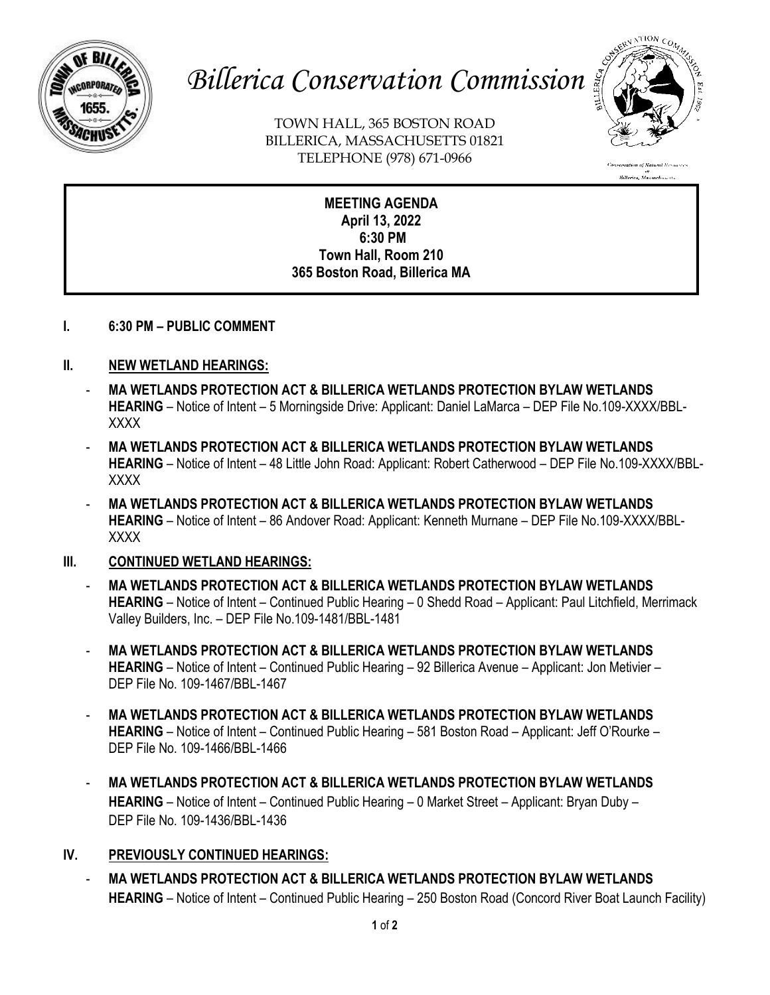

# *Billerica Conservation Commission*

TOWN HALL, 365 BOSTON ROAD BILLERICA, MASSACHUSETTS 01821 TELEPHONE (978) 671-0966



**MEETING AGENDA April 13, 2022 6:30 PM Town Hall, Room 210 365 Boston Road, Billerica MA**

## **I. 6:30 PM – PUBLIC COMMENT**

# **II. NEW WETLAND HEARINGS:**

- **MA WETLANDS PROTECTION ACT & BILLERICA WETLANDS PROTECTION BYLAW WETLANDS HEARING** – Notice of Intent – 5 Morningside Drive: Applicant: Daniel LaMarca – DEP File No.109-XXXX/BBL-XXXX
- **MA WETLANDS PROTECTION ACT & BILLERICA WETLANDS PROTECTION BYLAW WETLANDS HEARING** – Notice of Intent – 48 Little John Road: Applicant: Robert Catherwood – DEP File No.109-XXXX/BBL-XXXX
- **MA WETLANDS PROTECTION ACT & BILLERICA WETLANDS PROTECTION BYLAW WETLANDS HEARING** – Notice of Intent – 86 Andover Road: Applicant: Kenneth Murnane – DEP File No.109-XXXX/BBL-XXXX

## **III. CONTINUED WETLAND HEARINGS:**

- **MA WETLANDS PROTECTION ACT & BILLERICA WETLANDS PROTECTION BYLAW WETLANDS HEARING** – Notice of Intent – Continued Public Hearing – 0 Shedd Road – Applicant: Paul Litchfield, Merrimack Valley Builders, Inc. – DEP File No.109-1481/BBL-1481
- **MA WETLANDS PROTECTION ACT & BILLERICA WETLANDS PROTECTION BYLAW WETLANDS HEARING** – Notice of Intent – Continued Public Hearing – 92 Billerica Avenue – Applicant: Jon Metivier – DEP File No. 109-1467/BBL-1467
- **MA WETLANDS PROTECTION ACT & BILLERICA WETLANDS PROTECTION BYLAW WETLANDS HEARING** – Notice of Intent – Continued Public Hearing – 581 Boston Road – Applicant: Jeff O'Rourke – DEP File No. 109-1466/BBL-1466
- **MA WETLANDS PROTECTION ACT & BILLERICA WETLANDS PROTECTION BYLAW WETLANDS HEARING** – Notice of Intent – Continued Public Hearing – 0 Market Street – Applicant: Bryan Duby – DEP File No. 109-1436/BBL-1436

# **IV. PREVIOUSLY CONTINUED HEARINGS:**

- **MA WETLANDS PROTECTION ACT & BILLERICA WETLANDS PROTECTION BYLAW WETLANDS HEARING** – Notice of Intent – Continued Public Hearing – 250 Boston Road (Concord River Boat Launch Facility)